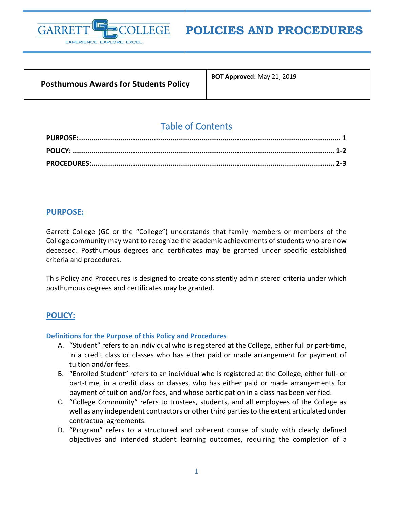

# **POLICIES AND PROCEDURES**

| <b>Posthumous Awards for Students Policy</b> |  |
|----------------------------------------------|--|
|                                              |  |

**BOT Approved:** May 21, 2019

# Table of Contents

# <span id="page-0-0"></span>**PURPOSE:**

Garrett College (GC or the "College") understands that family members or members of the College community may want to recognize the academic achievements of students who are now deceased. Posthumous degrees and certificates may be granted under specific established criteria and procedures.

This Policy and Procedures is designed to create consistently administered criteria under which posthumous degrees and certificates may be granted.

# <span id="page-0-1"></span>**POLICY:**

#### **Definitions for the Purpose of this Policy and Procedures**

- A. "Student" refers to an individual who is registered at the College, either full or part-time, in a credit class or classes who has either paid or made arrangement for payment of tuition and/or fees.
- B. "Enrolled Student" refers to an individual who is registered at the College, either full- or part-time, in a credit class or classes, who has either paid or made arrangements for payment of tuition and/or fees, and whose participation in a class has been verified.
- C. "College Community" refers to trustees, students, and all employees of the College as well as any independent contractors or other third parties to the extent articulated under contractual agreements.
- D. "Program" refers to a structured and coherent course of study with clearly defined objectives and intended student learning outcomes, requiring the completion of a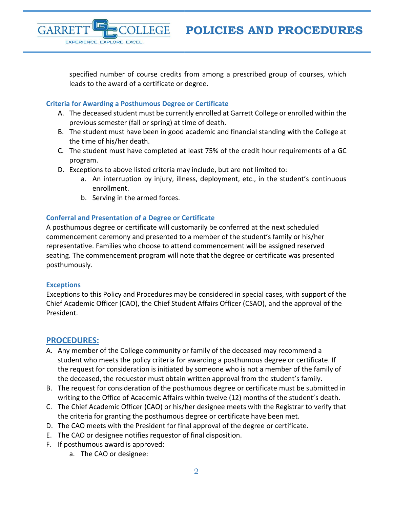specified number of course credits from among a prescribed group of courses, which leads to the award of a certificate or degree.

#### **Criteria for Awarding a Posthumous Degree or Certificate**

EXPERIENCE. EXPLORE. EXCEL.

- A. The deceased student must be currently enrolled at Garrett College or enrolled within the previous semester (fall or spring) at time of death.
- B. The student must have been in good academic and financial standing with the College at the time of his/her death.
- C. The student must have completed at least 75% of the credit hour requirements of a GC program.
- D. Exceptions to above listed criteria may include, but are not limited to:
	- a. An interruption by injury, illness, deployment, etc., in the student's continuous enrollment.
	- b. Serving in the armed forces.

#### **Conferral and Presentation of a Degree or Certificate**

A posthumous degree or certificate will customarily be conferred at the next scheduled commencement ceremony and presented to a member of the student's family or his/her representative. Families who choose to attend commencement will be assigned reserved seating. The commencement program will note that the degree or certificate was presented posthumously.

#### **Exceptions**

GARRE

Exceptions to this Policy and Procedures may be considered in special cases, with support of the Chief Academic Officer (CAO), the Chief Student Affairs Officer (CSAO), and the approval of the President.

# <span id="page-1-0"></span>**PROCEDURES:**

- A. Any member of the College community or family of the deceased may recommend a student who meets the policy criteria for awarding a posthumous degree or certificate. If the request for consideration is initiated by someone who is not a member of the family of the deceased, the requestor must obtain written approval from the student's family.
- B. The request for consideration of the posthumous degree or certificate must be submitted in writing to the Office of Academic Affairs within twelve (12) months of the student's death.
- C. The Chief Academic Officer (CAO) or his/her designee meets with the Registrar to verify that the criteria for granting the posthumous degree or certificate have been met.
- D. The CAO meets with the President for final approval of the degree or certificate.
- E. The CAO or designee notifies requestor of final disposition.
- F. If posthumous award is approved:
	- a. The CAO or designee: